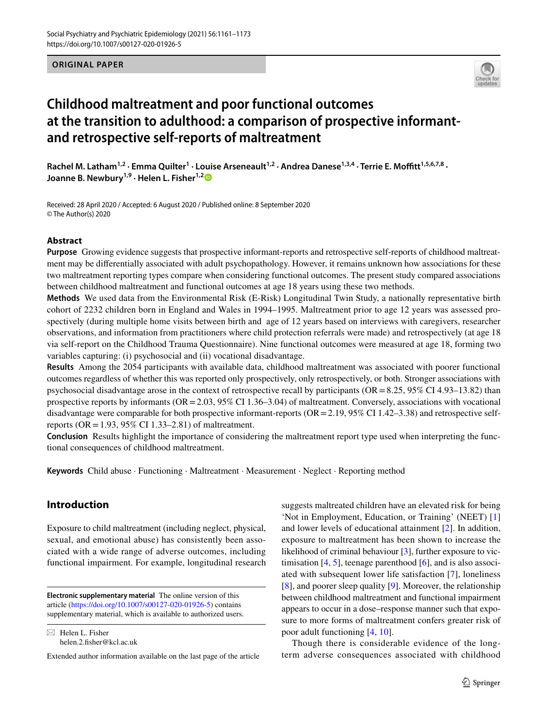# **ORIGINAL PAPER**



# **Childhood maltreatment and poor functional outcomes at the transition to adulthood: a comparison of prospective informant‑ and retrospective self‑reports of maltreatment**

Rachel M. Latham<sup>1,2</sup> · Emma Quilter<sup>1</sup> · Louise Arseneault<sup>1,2</sup> · Andrea Danese<sup>1,3,4</sup> · Terrie E. Moffitt<sup>1,5,6,7,8</sup> · Joanne B. Newbury<sup>1,9</sup> · Helen L. Fisher<sup>1,[2](http://orcid.org/0000-0003-4174-2126)</sup><sup>0</sup>

Received: 28 April 2020 / Accepted: 6 August 2020 / Published online: 8 September 2020 © The Author(s) 2020

# **Abstract**

**Purpose** Growing evidence suggests that prospective informant-reports and retrospective self-reports of childhood maltreatment may be diferentially associated with adult psychopathology. However, it remains unknown how associations for these two maltreatment reporting types compare when considering functional outcomes. The present study compared associations between childhood maltreatment and functional outcomes at age 18 years using these two methods.

**Methods** We used data from the Environmental Risk (E-Risk) Longitudinal Twin Study, a nationally representative birth cohort of 2232 children born in England and Wales in 1994–1995. Maltreatment prior to age 12 years was assessed prospectively (during multiple home visits between birth and age of 12 years based on interviews with caregivers, researcher observations, and information from practitioners where child protection referrals were made) and retrospectively (at age 18 via self-report on the Childhood Trauma Questionnaire). Nine functional outcomes were measured at age 18, forming two variables capturing: (i) psychosocial and (ii) vocational disadvantage.

**Results** Among the 2054 participants with available data, childhood maltreatment was associated with poorer functional outcomes regardless of whether this was reported only prospectively, only retrospectively, or both. Stronger associations with psychosocial disadvantage arose in the context of retrospective recall by participants (OR=8.25, 95% CI 4.93–13.82) than prospective reports by informants (OR=2.03, 95% CI 1.36–3.04) of maltreatment. Conversely, associations with vocational disadvantage were comparable for both prospective informant-reports (OR=2.19, 95% CI 1.42–3.38) and retrospective selfreports ( $OR = 1.93$ , 95% CI 1.33–2.81) of maltreatment.

**Conclusion** Results highlight the importance of considering the maltreatment report type used when interpreting the functional consequences of childhood maltreatment.

**Keywords** Child abuse · Functioning · Maltreatment · Measurement · Neglect · Reporting method

# **Introduction**

Exposure to child maltreatment (including neglect, physical, sexual, and emotional abuse) has consistently been associated with a wide range of adverse outcomes, including functional impairment. For example, longitudinal research

 $\boxtimes$  Helen L. Fisher helen.2.fsher@kcl.ac.uk suggests maltreated children have an elevated risk for being 'Not in Employment, Education, or Training' (NEET) [[1\]](#page-10-0) and lower levels of educational attainment [[2\]](#page-10-1). In addition, exposure to maltreatment has been shown to increase the likelihood of criminal behaviour [\[3\]](#page-10-2), further exposure to victimisation  $[4, 5]$  $[4, 5]$  $[4, 5]$ , teenage parenthood  $[6]$  $[6]$ , and is also associated with subsequent lower life satisfaction [[7\]](#page-10-6), loneliness [[8\]](#page-10-7), and poorer sleep quality [[9\]](#page-10-8). Moreover, the relationship between childhood maltreatment and functional impairment appears to occur in a dose–response manner such that exposure to more forms of maltreatment confers greater risk of poor adult functioning [\[4](#page-10-3), [10](#page-10-9)].

Though there is considerable evidence of the longterm adverse consequences associated with childhood

**Electronic supplementary material** The online version of this article [\(https://doi.org/10.1007/s00127-020-01926-5\)](https://doi.org/10.1007/s00127-020-01926-5) contains supplementary material, which is available to authorized users.

Extended author information available on the last page of the article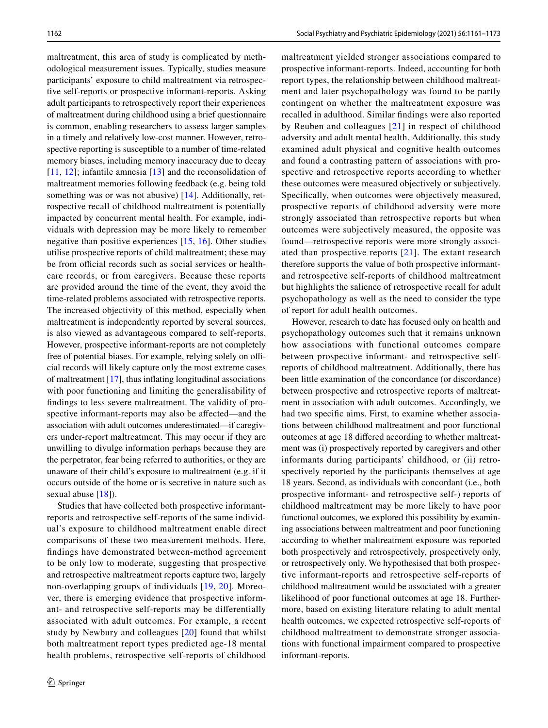maltreatment, this area of study is complicated by methodological measurement issues. Typically, studies measure participants' exposure to child maltreatment via retrospective self-reports or prospective informant-reports. Asking adult participants to retrospectively report their experiences of maltreatment during childhood using a brief questionnaire is common, enabling researchers to assess larger samples in a timely and relatively low-cost manner. However, retrospective reporting is susceptible to a number of time-related memory biases, including memory inaccuracy due to decay [\[11,](#page-10-10) [12](#page-10-11)]; infantile amnesia [[13\]](#page-10-12) and the reconsolidation of maltreatment memories following feedback (e.g. being told something was or was not abusive) [\[14](#page-10-13)]. Additionally, retrospective recall of childhood maltreatment is potentially impacted by concurrent mental health. For example, individuals with depression may be more likely to remember negative than positive experiences [\[15,](#page-10-14) [16](#page-10-15)]. Other studies utilise prospective reports of child maltreatment; these may be from official records such as social services or healthcare records, or from caregivers. Because these reports are provided around the time of the event, they avoid the time-related problems associated with retrospective reports. The increased objectivity of this method, especially when maltreatment is independently reported by several sources, is also viewed as advantageous compared to self-reports. However, prospective informant-reports are not completely free of potential biases. For example, relying solely on official records will likely capture only the most extreme cases of maltreatment [\[17](#page-10-16)], thus infating longitudinal associations with poor functioning and limiting the generalisability of fndings to less severe maltreatment. The validity of prospective informant-reports may also be afected—and the association with adult outcomes underestimated—if caregivers under-report maltreatment. This may occur if they are unwilling to divulge information perhaps because they are the perpetrator, fear being referred to authorities, or they are unaware of their child's exposure to maltreatment (e.g. if it occurs outside of the home or is secretive in nature such as sexual abuse  $[18]$  $[18]$  $[18]$ .

Studies that have collected both prospective informantreports and retrospective self-reports of the same individual's exposure to childhood maltreatment enable direct comparisons of these two measurement methods. Here, fndings have demonstrated between-method agreement to be only low to moderate, suggesting that prospective and retrospective maltreatment reports capture two, largely non-overlapping groups of individuals [[19](#page-10-18), [20](#page-10-19)]. Moreover, there is emerging evidence that prospective informant- and retrospective self-reports may be diferentially associated with adult outcomes. For example, a recent study by Newbury and colleagues [[20\]](#page-10-19) found that whilst both maltreatment report types predicted age-18 mental health problems, retrospective self-reports of childhood maltreatment yielded stronger associations compared to prospective informant-reports. Indeed, accounting for both report types, the relationship between childhood maltreatment and later psychopathology was found to be partly contingent on whether the maltreatment exposure was recalled in adulthood. Similar fndings were also reported by Reuben and colleagues [[21](#page-10-20)] in respect of childhood adversity and adult mental health. Additionally, this study examined adult physical and cognitive health outcomes and found a contrasting pattern of associations with prospective and retrospective reports according to whether these outcomes were measured objectively or subjectively. Specifcally, when outcomes were objectively measured, prospective reports of childhood adversity were more strongly associated than retrospective reports but when outcomes were subjectively measured, the opposite was found—retrospective reports were more strongly associated than prospective reports [[21\]](#page-10-20). The extant research therefore supports the value of both prospective informantand retrospective self-reports of childhood maltreatment but highlights the salience of retrospective recall for adult psychopathology as well as the need to consider the type of report for adult health outcomes.

However, research to date has focused only on health and psychopathology outcomes such that it remains unknown how associations with functional outcomes compare between prospective informant- and retrospective selfreports of childhood maltreatment. Additionally, there has been little examination of the concordance (or discordance) between prospective and retrospective reports of maltreatment in association with adult outcomes. Accordingly, we had two specifc aims. First, to examine whether associations between childhood maltreatment and poor functional outcomes at age 18 difered according to whether maltreatment was (i) prospectively reported by caregivers and other informants during participants' childhood, or (ii) retrospectively reported by the participants themselves at age 18 years. Second, as individuals with concordant (i.e., both prospective informant- and retrospective self-) reports of childhood maltreatment may be more likely to have poor functional outcomes, we explored this possibility by examining associations between maltreatment and poor functioning according to whether maltreatment exposure was reported both prospectively and retrospectively, prospectively only, or retrospectively only. We hypothesised that both prospective informant-reports and retrospective self-reports of childhood maltreatment would be associated with a greater likelihood of poor functional outcomes at age 18. Furthermore, based on existing literature relating to adult mental health outcomes, we expected retrospective self-reports of childhood maltreatment to demonstrate stronger associations with functional impairment compared to prospective informant-reports.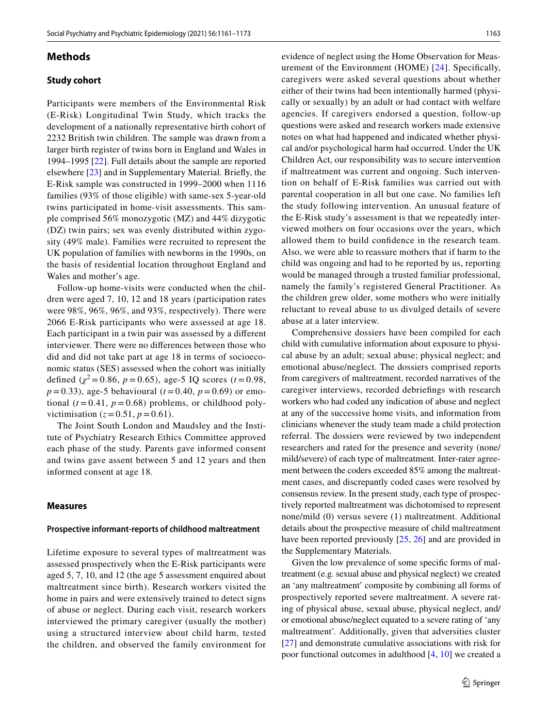#### **Methods**

# **Study cohort**

Participants were members of the Environmental Risk (E-Risk) Longitudinal Twin Study, which tracks the development of a nationally representative birth cohort of 2232 British twin children. The sample was drawn from a larger birth register of twins born in England and Wales in 1994–1995 [[22\]](#page-10-21). Full details about the sample are reported elsewhere [\[23](#page-11-0)] and in Supplementary Material. Briefy, the E-Risk sample was constructed in 1999–2000 when 1116 families (93% of those eligible) with same-sex 5-year-old twins participated in home-visit assessments. This sample comprised 56% monozygotic (MZ) and 44% dizygotic (DZ) twin pairs; sex was evenly distributed within zygosity (49% male). Families were recruited to represent the UK population of families with newborns in the 1990s, on the basis of residential location throughout England and Wales and mother's age.

Follow-up home-visits were conducted when the children were aged 7, 10, 12 and 18 years (participation rates were 98%, 96%, 96%, and 93%, respectively). There were 2066 E-Risk participants who were assessed at age 18. Each participant in a twin pair was assessed by a diferent interviewer. There were no diferences between those who did and did not take part at age 18 in terms of socioeconomic status (SES) assessed when the cohort was initially defined ( $\chi^2$  = 0.86, *p* = 0.65), age-5 IQ scores (*t* = 0.98,  $p = 0.33$ ), age-5 behavioural ( $t = 0.40$ ,  $p = 0.69$ ) or emotional  $(t=0.41, p=0.68)$  problems, or childhood polyvictimisation ( $z = 0.51$ ,  $p = 0.61$ ).

The Joint South London and Maudsley and the Institute of Psychiatry Research Ethics Committee approved each phase of the study. Parents gave informed consent and twins gave assent between 5 and 12 years and then informed consent at age 18.

#### **Measures**

#### **Prospective informant‑reports of childhood maltreatment**

Lifetime exposure to several types of maltreatment was assessed prospectively when the E-Risk participants were aged 5, 7, 10, and 12 (the age 5 assessment enquired about maltreatment since birth). Research workers visited the home in pairs and were extensively trained to detect signs of abuse or neglect. During each visit, research workers interviewed the primary caregiver (usually the mother) using a structured interview about child harm, tested the children, and observed the family environment for

evidence of neglect using the Home Observation for Measurement of the Environment (HOME) [[24](#page-11-1)]. Specifcally, caregivers were asked several questions about whether either of their twins had been intentionally harmed (physically or sexually) by an adult or had contact with welfare agencies. If caregivers endorsed a question, follow-up questions were asked and research workers made extensive notes on what had happened and indicated whether physical and/or psychological harm had occurred. Under the UK Children Act, our responsibility was to secure intervention if maltreatment was current and ongoing. Such intervention on behalf of E-Risk families was carried out with parental cooperation in all but one case. No families left the study following intervention. An unusual feature of the E-Risk study's assessment is that we repeatedly interviewed mothers on four occasions over the years, which allowed them to build confdence in the research team. Also, we were able to reassure mothers that if harm to the child was ongoing and had to be reported by us, reporting would be managed through a trusted familiar professional, namely the family's registered General Practitioner. As the children grew older, some mothers who were initially reluctant to reveal abuse to us divulged details of severe abuse at a later interview.

Comprehensive dossiers have been compiled for each child with cumulative information about exposure to physical abuse by an adult; sexual abuse; physical neglect; and emotional abuse/neglect. The dossiers comprised reports from caregivers of maltreatment, recorded narratives of the caregiver interviews, recorded debriefngs with research workers who had coded any indication of abuse and neglect at any of the successive home visits, and information from clinicians whenever the study team made a child protection referral. The dossiers were reviewed by two independent researchers and rated for the presence and severity (none/ mild/severe) of each type of maltreatment. Inter-rater agreement between the coders exceeded 85% among the maltreatment cases, and discrepantly coded cases were resolved by consensus review. In the present study, each type of prospectively reported maltreatment was dichotomised to represent none/mild (0) versus severe (1) maltreatment. Additional details about the prospective measure of child maltreatment have been reported previously [\[25](#page-11-2), [26\]](#page-11-3) and are provided in the Supplementary Materials.

Given the low prevalence of some specifc forms of maltreatment (e.g. sexual abuse and physical neglect) we created an 'any maltreatment' composite by combining all forms of prospectively reported severe maltreatment. A severe rating of physical abuse, sexual abuse, physical neglect, and/ or emotional abuse/neglect equated to a severe rating of 'any maltreatment'. Additionally, given that adversities cluster [[27\]](#page-11-4) and demonstrate cumulative associations with risk for poor functional outcomes in adulthood [\[4](#page-10-3), [10](#page-10-9)] we created a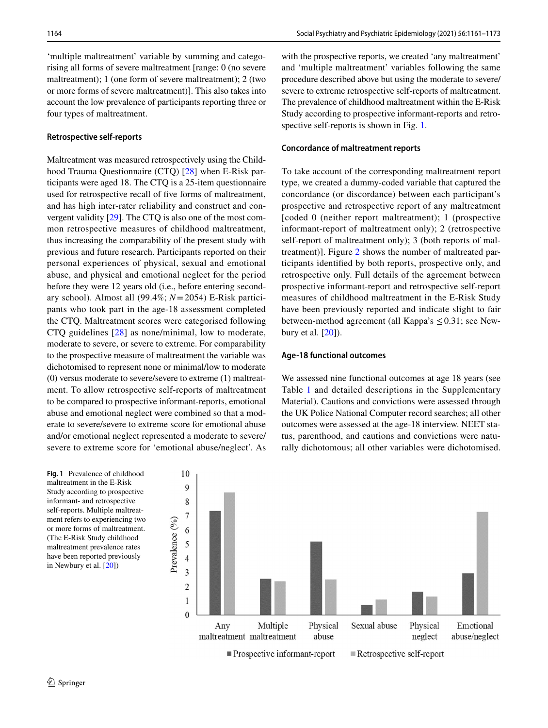'multiple maltreatment' variable by summing and categorising all forms of severe maltreatment [range: 0 (no severe maltreatment); 1 (one form of severe maltreatment); 2 (two or more forms of severe maltreatment)]. This also takes into account the low prevalence of participants reporting three or four types of maltreatment.

#### **Retrospective self‑reports**

Maltreatment was measured retrospectively using the Childhood Trauma Questionnaire (CTQ) [\[28](#page-11-5)] when E-Risk participants were aged 18. The CTQ is a 25-item questionnaire used for retrospective recall of fve forms of maltreatment, and has high inter-rater reliability and construct and convergent validity [[29](#page-11-6)]. The CTQ is also one of the most common retrospective measures of childhood maltreatment, thus increasing the comparability of the present study with previous and future research. Participants reported on their personal experiences of physical, sexual and emotional abuse, and physical and emotional neglect for the period before they were 12 years old (i.e., before entering secondary school). Almost all (99.4%; *N*=2054) E-Risk participants who took part in the age-18 assessment completed the CTQ. Maltreatment scores were categorised following CTQ guidelines [[28](#page-11-5)] as none/minimal, low to moderate, moderate to severe, or severe to extreme. For comparability to the prospective measure of maltreatment the variable was dichotomised to represent none or minimal/low to moderate (0) versus moderate to severe/severe to extreme (1) maltreatment. To allow retrospective self-reports of maltreatment to be compared to prospective informant-reports, emotional abuse and emotional neglect were combined so that a moderate to severe/severe to extreme score for emotional abuse and/or emotional neglect represented a moderate to severe/ severe to extreme score for 'emotional abuse/neglect'. As

1164 Social Psychiatry and Psychiatric Epidemiology (2021) 56:1161–1173

with the prospective reports, we created 'any maltreatment' and 'multiple maltreatment' variables following the same procedure described above but using the moderate to severe/ severe to extreme retrospective self-reports of maltreatment. The prevalence of childhood maltreatment within the E-Risk Study according to prospective informant-reports and retrospective self-reports is shown in Fig. [1.](#page-3-0)

#### **Concordance of maltreatment reports**

To take account of the corresponding maltreatment report type, we created a dummy-coded variable that captured the concordance (or discordance) between each participant's prospective and retrospective report of any maltreatment [coded 0 (neither report maltreatment); 1 (prospective informant-report of maltreatment only); 2 (retrospective self-report of maltreatment only); 3 (both reports of maltreatment)]. Figure [2](#page-4-0) shows the number of maltreated participants identifed by both reports, prospective only, and retrospective only. Full details of the agreement between prospective informant-report and retrospective self-report measures of childhood maltreatment in the E-Risk Study have been previously reported and indicate slight to fair between-method agreement (all Kappa's ≤0.31; see Newbury et al. [[20\]](#page-10-19)).

#### **Age‑18 functional outcomes**

We assessed nine functional outcomes at age 18 years (see Table [1](#page-4-1) and detailed descriptions in the Supplementary Material). Cautions and convictions were assessed through the UK Police National Computer record searches; all other outcomes were assessed at the age-18 interview. NEET status, parenthood, and cautions and convictions were naturally dichotomous; all other variables were dichotomised.

 $10$ 9 8  $\overline{7}$ Prevalence (%) 6 5  $\overline{4}$  $\overline{3}$  $\overline{2}$  $\mathbf{1}$  $\theta$ Any Multiple Physical Sexual abuse Physical Emotional maltreatment maltreatment abuse neglect abuse/neglect Prospective informant-report Retrospective self-report

<span id="page-3-0"></span>**Fig. 1** Prevalence of childhood maltreatment in the E-Risk Study according to prospective informant- and retrospective self-reports. Multiple maltreatment refers to experiencing two or more forms of maltreatment. (The E-Risk Study childhood maltreatment prevalence rates have been reported previously in Newbury et al. [[20](#page-10-19)])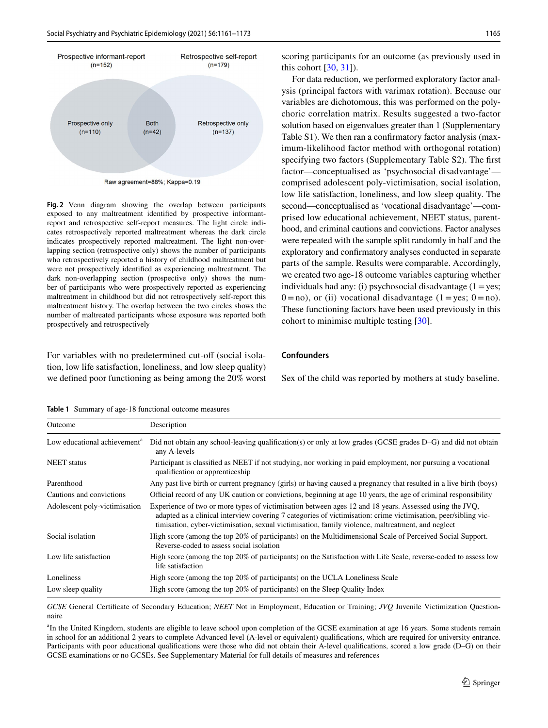

Raw agreement=88%; Kappa=0.19

<span id="page-4-0"></span>**Fig. 2** Venn diagram showing the overlap between participants exposed to any maltreatment identifed by prospective informantreport and retrospective self-report measures. The light circle indicates retrospectively reported maltreatment whereas the dark circle indicates prospectively reported maltreatment. The light non-overlapping section (retrospective only) shows the number of participants who retrospectively reported a history of childhood maltreatment but were not prospectively identifed as experiencing maltreatment. The dark non-overlapping section (prospective only) shows the number of participants who were prospectively reported as experiencing maltreatment in childhood but did not retrospectively self-report this maltreatment history. The overlap between the two circles shows the number of maltreated participants whose exposure was reported both prospectively and retrospectively

For variables with no predetermined cut-off (social isolation, low life satisfaction, loneliness, and low sleep quality) we defned poor functioning as being among the 20% worst scoring participants for an outcome (as previously used in this cohort  $[30, 31]$  $[30, 31]$  $[30, 31]$  $[30, 31]$ .

For data reduction, we performed exploratory factor analysis (principal factors with varimax rotation). Because our variables are dichotomous, this was performed on the polychoric correlation matrix. Results suggested a two-factor solution based on eigenvalues greater than 1 (Supplementary Table S1). We then ran a confrmatory factor analysis (maximum-likelihood factor method with orthogonal rotation) specifying two factors (Supplementary Table S2). The frst factor—conceptualised as 'psychosocial disadvantage' comprised adolescent poly-victimisation, social isolation, low life satisfaction, loneliness, and low sleep quality. The second—conceptualised as 'vocational disadvantage'—comprised low educational achievement, NEET status, parenthood, and criminal cautions and convictions. Factor analyses were repeated with the sample split randomly in half and the exploratory and confrmatory analyses conducted in separate parts of the sample. Results were comparable. Accordingly, we created two age-18 outcome variables capturing whether individuals had any: (i) psychosocial disadvantage  $(1 = yes;$  $0=$ no), or (ii) vocational disadvantage (1 = yes;  $0=$  no). These functioning factors have been used previously in this cohort to minimise multiple testing [[30\]](#page-11-7).

#### **Confounders**

Sex of the child was reported by mothers at study baseline.

<span id="page-4-1"></span>**Table 1** Summary of age-18 functional outcome measures

Outcome Description Low educational achievement<sup>a</sup> Did not obtain any school-leaving qualification(s) or only at low grades (GCSE grades D–G) and did not obtain any A-levels NEET status Participant is classifed as NEET if not studying, nor working in paid employment, nor pursuing a vocational qualifcation or apprenticeship Parenthood Any past live birth or current pregnancy (girls) or having caused a pregnancy that resulted in a live birth (boys) Cautions and convictions Official record of any UK caution or convictions, beginning at age 10 years, the age of criminal responsibility Adolescent poly-victimisation Experience of two or more types of victimisation between ages 12 and 18 years. Assessed using the JVQ, adapted as a clinical interview covering 7 categories of victimisation: crime victimisation, peer/sibling victimisation, cyber-victimisation, sexual victimisation, family violence, maltreatment, and neglect Social isolation High score (among the top 20% of participants) on the Multidimensional Scale of Perceived Social Support. Reverse-coded to assess social isolation Low life satisfaction High score (among the top 20% of participants) on the Satisfaction with Life Scale, reverse-coded to assess low life satisfaction Loneliness High score (among the top 20% of participants) on the UCLA Loneliness Scale Low sleep quality High score (among the top 20% of participants) on the Sleep Quality Index

*GCSE* General Certifcate of Secondary Education; *NEET* Not in Employment, Education or Training; *JVQ* Juvenile Victimization Questionnaire

<sup>a</sup>In the United Kingdom, students are eligible to leave school upon completion of the GCSE examination at age 16 years. Some students remain in school for an additional 2 years to complete Advanced level (A-level or equivalent) qualifcations, which are required for university entrance. Participants with poor educational qualifcations were those who did not obtain their A-level qualifcations, scored a low grade (D–G) on their GCSE examinations or no GCSEs. See Supplementary Material for full details of measures and references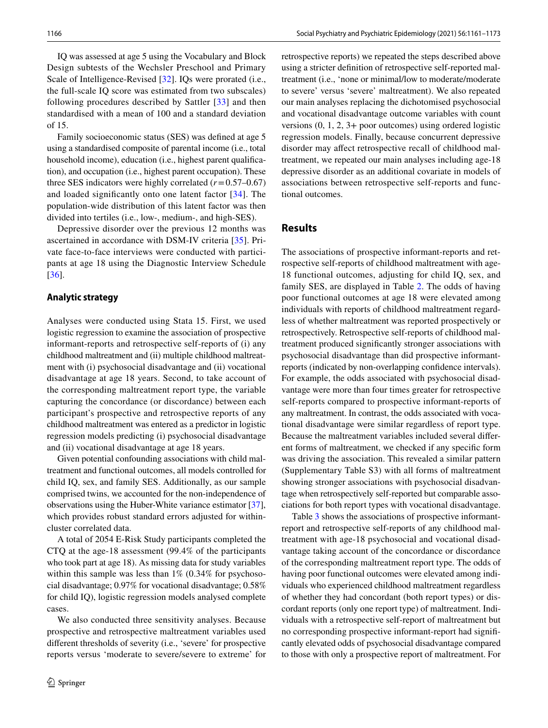IQ was assessed at age 5 using the Vocabulary and Block Design subtests of the Wechsler Preschool and Primary Scale of Intelligence-Revised [\[32](#page-11-9)]. IQs were prorated (i.e., the full-scale IQ score was estimated from two subscales) following procedures described by Sattler [[33\]](#page-11-10) and then standardised with a mean of 100 and a standard deviation of 15.

Family socioeconomic status (SES) was defned at age 5 using a standardised composite of parental income (i.e., total household income), education (i.e., highest parent qualifcation), and occupation (i.e., highest parent occupation). These three SES indicators were highly correlated  $(r=0.57-0.67)$ and loaded signifcantly onto one latent factor [\[34\]](#page-11-11). The population-wide distribution of this latent factor was then divided into tertiles (i.e., low-, medium-, and high-SES).

Depressive disorder over the previous 12 months was ascertained in accordance with DSM-IV criteria [[35\]](#page-11-12). Private face-to-face interviews were conducted with participants at age 18 using the Diagnostic Interview Schedule [\[36\]](#page-11-13).

#### **Analytic strategy**

Analyses were conducted using Stata 15. First, we used logistic regression to examine the association of prospective informant-reports and retrospective self-reports of (i) any childhood maltreatment and (ii) multiple childhood maltreatment with (i) psychosocial disadvantage and (ii) vocational disadvantage at age 18 years. Second, to take account of the corresponding maltreatment report type, the variable capturing the concordance (or discordance) between each participant's prospective and retrospective reports of any childhood maltreatment was entered as a predictor in logistic regression models predicting (i) psychosocial disadvantage and (ii) vocational disadvantage at age 18 years.

Given potential confounding associations with child maltreatment and functional outcomes, all models controlled for child IQ, sex, and family SES. Additionally, as our sample comprised twins, we accounted for the non-independence of observations using the Huber-White variance estimator [\[37](#page-11-14)], which provides robust standard errors adjusted for withincluster correlated data.

A total of 2054 E-Risk Study participants completed the CTQ at the age-18 assessment (99.4% of the participants who took part at age 18). As missing data for study variables within this sample was less than  $1\%$  (0.34% for psychosocial disadvantage; 0.97% for vocational disadvantage; 0.58% for child IQ), logistic regression models analysed complete cases.

We also conducted three sensitivity analyses. Because prospective and retrospective maltreatment variables used diferent thresholds of severity (i.e., 'severe' for prospective reports versus 'moderate to severe/severe to extreme' for retrospective reports) we repeated the steps described above using a stricter defnition of retrospective self-reported maltreatment (i.e., 'none or minimal/low to moderate/moderate to severe' versus 'severe' maltreatment). We also repeated our main analyses replacing the dichotomised psychosocial and vocational disadvantage outcome variables with count versions (0, 1, 2, 3+ poor outcomes) using ordered logistic regression models. Finally, because concurrent depressive disorder may afect retrospective recall of childhood maltreatment, we repeated our main analyses including age-18 depressive disorder as an additional covariate in models of associations between retrospective self-reports and functional outcomes.

# **Results**

The associations of prospective informant-reports and retrospective self-reports of childhood maltreatment with age-18 functional outcomes, adjusting for child IQ, sex, and family SES, are displayed in Table [2](#page-6-0). The odds of having poor functional outcomes at age 18 were elevated among individuals with reports of childhood maltreatment regardless of whether maltreatment was reported prospectively or retrospectively. Retrospective self-reports of childhood maltreatment produced signifcantly stronger associations with psychosocial disadvantage than did prospective informantreports (indicated by non-overlapping confdence intervals). For example, the odds associated with psychosocial disadvantage were more than four times greater for retrospective self-reports compared to prospective informant-reports of any maltreatment. In contrast, the odds associated with vocational disadvantage were similar regardless of report type. Because the maltreatment variables included several diferent forms of maltreatment, we checked if any specifc form was driving the association. This revealed a similar pattern (Supplementary Table S3) with all forms of maltreatment showing stronger associations with psychosocial disadvantage when retrospectively self-reported but comparable associations for both report types with vocational disadvantage.

Table [3](#page-7-0) shows the associations of prospective informantreport and retrospective self-reports of any childhood maltreatment with age-18 psychosocial and vocational disadvantage taking account of the concordance or discordance of the corresponding maltreatment report type. The odds of having poor functional outcomes were elevated among individuals who experienced childhood maltreatment regardless of whether they had concordant (both report types) or discordant reports (only one report type) of maltreatment. Individuals with a retrospective self-report of maltreatment but no corresponding prospective informant-report had signifcantly elevated odds of psychosocial disadvantage compared to those with only a prospective report of maltreatment. For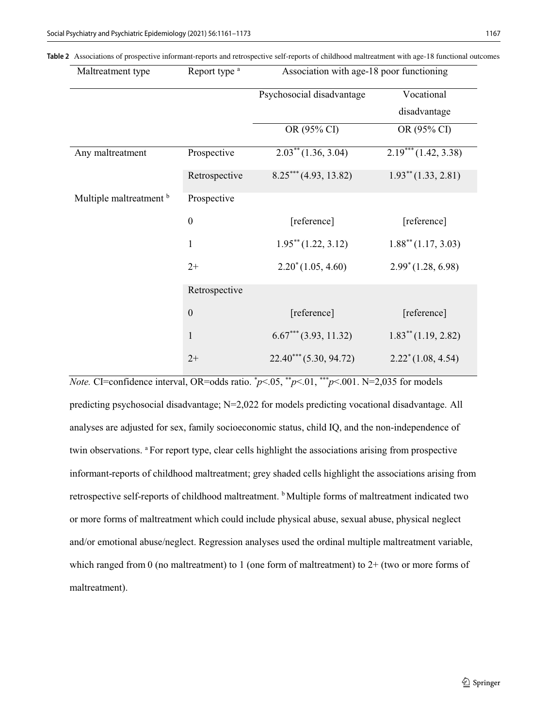|                         |                  | Psychosocial disadvantage     | Vocational                          |  |  |  |  |  |
|-------------------------|------------------|-------------------------------|-------------------------------------|--|--|--|--|--|
|                         |                  |                               | disadvantage                        |  |  |  |  |  |
|                         |                  | OR (95% CI)                   | OR (95% CI)                         |  |  |  |  |  |
| Any maltreatment        | Prospective      | $2.03^{**} (1.36, 3.04)$      | $2.19***$ $(1.42, 3.38)$            |  |  |  |  |  |
|                         | Retrospective    | $8.25***$ (4.93, 13.82)       | $1.93$ <sup>**</sup> $(1.33, 2.81)$ |  |  |  |  |  |
| Multiple maltreatment b | Prospective      |                               |                                     |  |  |  |  |  |
|                         | $\boldsymbol{0}$ | [reference]                   | [reference]                         |  |  |  |  |  |
|                         | $\mathbf{1}$     | $1.95^{\ast\ast}(1.22, 3.12)$ | $1.88$ <sup>**</sup> $(1.17, 3.03)$ |  |  |  |  |  |
|                         | $2+$             | $2.20^*(1.05, 4.60)$          | $2.99^*(1.28, 6.98)$                |  |  |  |  |  |
|                         | Retrospective    |                               |                                     |  |  |  |  |  |
|                         | $\boldsymbol{0}$ | [reference]                   | [reference]                         |  |  |  |  |  |
|                         | $\mathbf{1}$     | $6.67***$ (3.93, 11.32)       | $1.83$ <sup>**</sup> $(1.19, 2.82)$ |  |  |  |  |  |
|                         | $2+$             | $22.40***$ (5.30, 94.72)      | $2.22^*(1.08, 4.54)$                |  |  |  |  |  |

<span id="page-6-0"></span>

|  |  |  |  |  | <b>Table 2</b> Associations of prospective informant-reports and retrospective self-reports of childhood maltreatment with age-18 functional outcomes |  |
|--|--|--|--|--|-------------------------------------------------------------------------------------------------------------------------------------------------------|--|
|--|--|--|--|--|-------------------------------------------------------------------------------------------------------------------------------------------------------|--|

Maltreatment type Report type <sup>a</sup> Association with age-18 poor functioning

*Note.* CI=confidence interval, OR=odds ratio.  $\gamma p<.05$ ,  $\gamma p<.01$ ,  $\gamma p<.001$ . N=2,035 for models predicting psychosocial disadvantage; N=2,022 for models predicting vocational disadvantage. All analyses are adjusted for sex, family socioeconomic status, child IQ, and the non-independence of twin observations. <sup>a</sup> For report type, clear cells highlight the associations arising from prospective informant-reports of childhood maltreatment; grey shaded cells highlight the associations arising from retrospective self-reports of childhood maltreatment. b Multiple forms of maltreatment indicated two or more forms of maltreatment which could include physical abuse, sexual abuse, physical neglect and/or emotional abuse/neglect. Regression analyses used the ordinal multiple maltreatment variable, which ranged from 0 (no maltreatment) to 1 (one form of maltreatment) to 2+ (two or more forms of maltreatment).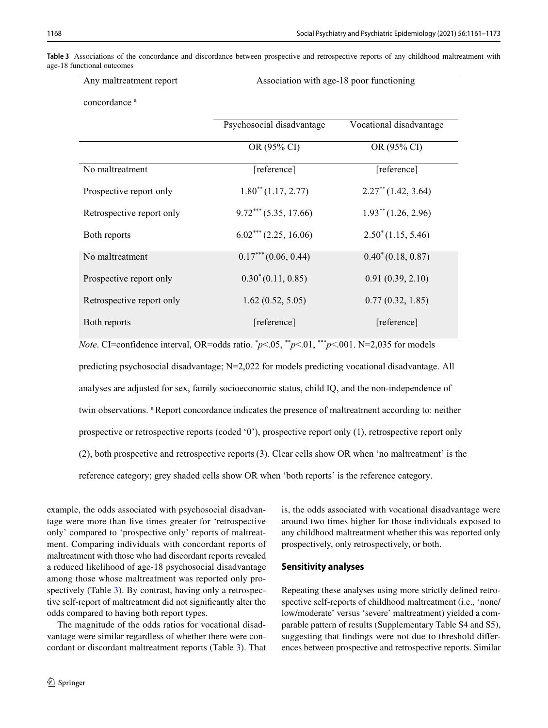Any maltreatment report

| concordance <sup>a</sup>  |                           |                                     |
|---------------------------|---------------------------|-------------------------------------|
|                           | Psychosocial disadvantage | Vocational disadvantage             |
|                           | OR (95% CI)               | OR (95% CI)                         |
| No maltreatment           | [reference]               | [reference]                         |
| Prospective report only   | $1.80^{**}(1.17, 2.77)$   | $2.27$ <sup>**</sup> $(1.42, 3.64)$ |
| Retrospective report only | $9.72***$ (5.35, 17.66)   | $1.93$ <sup>**</sup> $(1.26, 2.96)$ |
| Both reports              | $6.02***$ (2.25, 16.06)   | $2.50^*(1.15, 5.46)$                |
| No maltreatment           | $0.17***(0.06, 0.44)$     | $0.40^*(0.18, 0.87)$                |
| Prospective report only   | $0.30^*(0.11, 0.85)$      | 0.91(0.39, 2.10)                    |
| Retrospective report only | 1.62(0.52, 5.05)          | 0.77(0.32, 1.85)                    |
| Both reports              | [reference]               | [reference]                         |

<span id="page-7-0"></span>

| Table 3 Associations of the concordance and discordance between prospective and retrospective reports of any childhood maltreatment with |  |  |  |  |  |  |
|------------------------------------------------------------------------------------------------------------------------------------------|--|--|--|--|--|--|
| age-18 functional outcomes                                                                                                               |  |  |  |  |  |  |

Association with age-18 poor functioning

*Note*. CI=confidence interval, OR=odds ratio.  $p \le 0.05$ ,  $p \le 0.01$ ,  $p \le 0.01$ . N=2,035 for models predicting psychosocial disadvantage; N=2,022 for models predicting vocational disadvantage. All

analyses are adjusted for sex, family socioeconomic status, child IQ, and the non-independence of twin observations. <sup>a</sup> Report concordance indicates the presence of maltreatment according to: neither prospective or retrospective reports (coded '0'), prospective report only (1), retrospective report only (2), both prospective and retrospective reports (3). Clear cells show OR when 'no maltreatment' is the reference category; grey shaded cells show OR when 'both reports' is the reference category.

example, the odds associated with psychosocial disadvantage were more than fve times greater for 'retrospective only' compared to 'prospective only' reports of maltreatment. Comparing individuals with concordant reports of maltreatment with those who had discordant reports revealed a reduced likelihood of age-18 psychosocial disadvantage among those whose maltreatment was reported only pro-spectively (Table [3\)](#page-7-0). By contrast, having only a retrospective self-report of maltreatment did not signifcantly alter the odds compared to having both report types.

The magnitude of the odds ratios for vocational disadvantage were similar regardless of whether there were concordant or discordant maltreatment reports (Table [3\)](#page-7-0). That is, the odds associated with vocational disadvantage were around two times higher for those individuals exposed to any childhood maltreatment whether this was reported only prospectively, only retrospectively, or both.

### **Sensitivity analyses**

Repeating these analyses using more strictly defned retrospective self-reports of childhood maltreatment (i.e., 'none/ low/moderate' versus 'severe' maltreatment) yielded a comparable pattern of results (Supplementary Table S4 and S5), suggesting that fndings were not due to threshold diferences between prospective and retrospective reports. Similar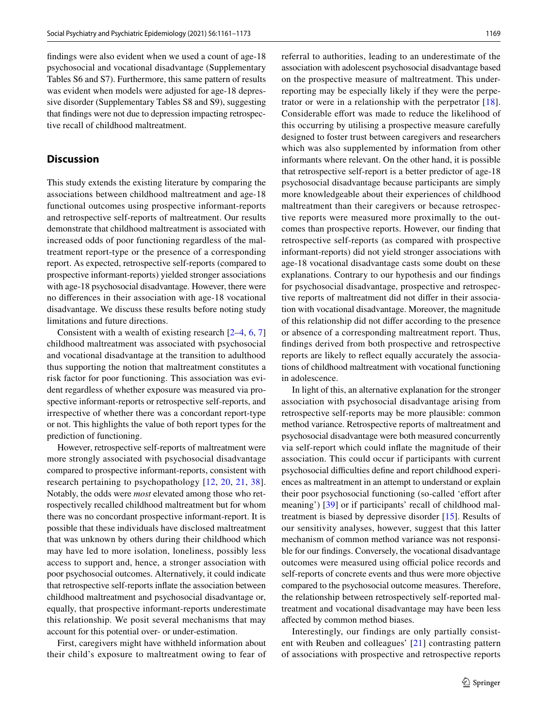fndings were also evident when we used a count of age-18 psychosocial and vocational disadvantage (Supplementary Tables S6 and S7). Furthermore, this same pattern of results was evident when models were adjusted for age-18 depressive disorder (Supplementary Tables S8 and S9), suggesting that fndings were not due to depression impacting retrospective recall of childhood maltreatment.

# **Discussion**

This study extends the existing literature by comparing the associations between childhood maltreatment and age-18 functional outcomes using prospective informant-reports and retrospective self-reports of maltreatment. Our results demonstrate that childhood maltreatment is associated with increased odds of poor functioning regardless of the maltreatment report-type or the presence of a corresponding report. As expected, retrospective self-reports (compared to prospective informant-reports) yielded stronger associations with age-18 psychosocial disadvantage. However, there were no diferences in their association with age-18 vocational disadvantage. We discuss these results before noting study limitations and future directions.

Consistent with a wealth of existing research [\[2](#page-10-1)[–4](#page-10-3), [6,](#page-10-5) [7\]](#page-10-6) childhood maltreatment was associated with psychosocial and vocational disadvantage at the transition to adulthood thus supporting the notion that maltreatment constitutes a risk factor for poor functioning. This association was evident regardless of whether exposure was measured via prospective informant-reports or retrospective self-reports, and irrespective of whether there was a concordant report-type or not. This highlights the value of both report types for the prediction of functioning.

However, retrospective self-reports of maltreatment were more strongly associated with psychosocial disadvantage compared to prospective informant-reports, consistent with research pertaining to psychopathology [[12](#page-10-11), [20,](#page-10-19) [21,](#page-10-20) [38](#page-11-15)]. Notably, the odds were *most* elevated among those who retrospectively recalled childhood maltreatment but for whom there was no concordant prospective informant-report. It is possible that these individuals have disclosed maltreatment that was unknown by others during their childhood which may have led to more isolation, loneliness, possibly less access to support and, hence, a stronger association with poor psychosocial outcomes. Alternatively, it could indicate that retrospective self-reports infate the association between childhood maltreatment and psychosocial disadvantage or, equally, that prospective informant-reports underestimate this relationship. We posit several mechanisms that may account for this potential over- or under-estimation.

First, caregivers might have withheld information about their child's exposure to maltreatment owing to fear of referral to authorities, leading to an underestimate of the association with adolescent psychosocial disadvantage based on the prospective measure of maltreatment. This underreporting may be especially likely if they were the perpetrator or were in a relationship with the perpetrator [[18](#page-10-17)]. Considerable effort was made to reduce the likelihood of this occurring by utilising a prospective measure carefully designed to foster trust between caregivers and researchers which was also supplemented by information from other informants where relevant. On the other hand, it is possible that retrospective self-report is a better predictor of age-18 psychosocial disadvantage because participants are simply more knowledgeable about their experiences of childhood maltreatment than their caregivers or because retrospective reports were measured more proximally to the outcomes than prospective reports. However, our fnding that retrospective self-reports (as compared with prospective informant-reports) did not yield stronger associations with age-18 vocational disadvantage casts some doubt on these explanations. Contrary to our hypothesis and our fndings for psychosocial disadvantage, prospective and retrospective reports of maltreatment did not difer in their association with vocational disadvantage. Moreover, the magnitude of this relationship did not difer according to the presence or absence of a corresponding maltreatment report. Thus, fndings derived from both prospective and retrospective reports are likely to refect equally accurately the associations of childhood maltreatment with vocational functioning in adolescence.

In light of this, an alternative explanation for the stronger association with psychosocial disadvantage arising from retrospective self-reports may be more plausible: common method variance. Retrospective reports of maltreatment and psychosocial disadvantage were both measured concurrently via self-report which could infate the magnitude of their association. This could occur if participants with current psychosocial difficulties define and report childhood experiences as maltreatment in an attempt to understand or explain their poor psychosocial functioning (so-called 'effort after meaning') [\[39\]](#page-11-16) or if participants' recall of childhood maltreatment is biased by depressive disorder [[15](#page-10-14)]. Results of our sensitivity analyses, however, suggest that this latter mechanism of common method variance was not responsible for our fndings. Conversely, the vocational disadvantage outcomes were measured using official police records and self-reports of concrete events and thus were more objective compared to the psychosocial outcome measures. Therefore, the relationship between retrospectively self-reported maltreatment and vocational disadvantage may have been less afected by common method biases.

Interestingly, our findings are only partially consistent with Reuben and colleagues' [\[21\]](#page-10-20) contrasting pattern of associations with prospective and retrospective reports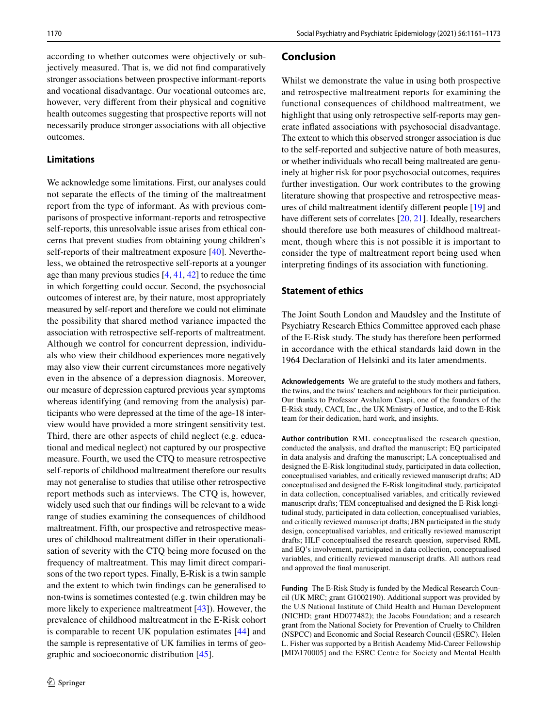according to whether outcomes were objectively or subjectively measured. That is, we did not fnd comparatively stronger associations between prospective informant-reports and vocational disadvantage. Our vocational outcomes are, however, very diferent from their physical and cognitive health outcomes suggesting that prospective reports will not necessarily produce stronger associations with all objective outcomes.

# **Limitations**

We acknowledge some limitations. First, our analyses could not separate the efects of the timing of the maltreatment report from the type of informant. As with previous comparisons of prospective informant-reports and retrospective self-reports, this unresolvable issue arises from ethical concerns that prevent studies from obtaining young children's self-reports of their maltreatment exposure [\[40](#page-11-17)]. Nevertheless, we obtained the retrospective self-reports at a younger age than many previous studies [\[4](#page-10-3), [41,](#page-11-18) [42](#page-11-19)] to reduce the time in which forgetting could occur. Second, the psychosocial outcomes of interest are, by their nature, most appropriately measured by self-report and therefore we could not eliminate the possibility that shared method variance impacted the association with retrospective self-reports of maltreatment. Although we control for concurrent depression, individuals who view their childhood experiences more negatively may also view their current circumstances more negatively even in the absence of a depression diagnosis. Moreover, our measure of depression captured previous year symptoms whereas identifying (and removing from the analysis) participants who were depressed at the time of the age-18 interview would have provided a more stringent sensitivity test. Third, there are other aspects of child neglect (e.g. educational and medical neglect) not captured by our prospective measure. Fourth, we used the CTQ to measure retrospective self-reports of childhood maltreatment therefore our results may not generalise to studies that utilise other retrospective report methods such as interviews. The CTQ is, however, widely used such that our fndings will be relevant to a wide range of studies examining the consequences of childhood maltreatment. Fifth, our prospective and retrospective measures of childhood maltreatment difer in their operationalisation of severity with the CTQ being more focused on the frequency of maltreatment. This may limit direct comparisons of the two report types. Finally, E-Risk is a twin sample and the extent to which twin fndings can be generalised to non-twins is sometimes contested (e.g. twin children may be more likely to experience maltreatment [\[43](#page-11-20)]). However, the prevalence of childhood maltreatment in the E-Risk cohort is comparable to recent UK population estimates [[44](#page-11-21)] and the sample is representative of UK families in terms of geographic and socioeconomic distribution [[45\]](#page-11-22).

# **Conclusion**

Whilst we demonstrate the value in using both prospective and retrospective maltreatment reports for examining the functional consequences of childhood maltreatment, we highlight that using only retrospective self-reports may generate infated associations with psychosocial disadvantage. The extent to which this observed stronger association is due to the self-reported and subjective nature of both measures, or whether individuals who recall being maltreated are genuinely at higher risk for poor psychosocial outcomes, requires further investigation. Our work contributes to the growing literature showing that prospective and retrospective measures of child maltreatment identify diferent people [\[19](#page-10-18)] and have diferent sets of correlates [\[20](#page-10-19), [21\]](#page-10-20). Ideally, researchers should therefore use both measures of childhood maltreatment, though where this is not possible it is important to consider the type of maltreatment report being used when interpreting fndings of its association with functioning.

# **Statement of ethics**

The Joint South London and Maudsley and the Institute of Psychiatry Research Ethics Committee approved each phase of the E-Risk study. The study has therefore been performed in accordance with the ethical standards laid down in the 1964 Declaration of Helsinki and its later amendments.

**Acknowledgements** We are grateful to the study mothers and fathers, the twins, and the twins' teachers and neighbours for their participation. Our thanks to Professor Avshalom Caspi, one of the founders of the E-Risk study, CACI, Inc., the UK Ministry of Justice, and to the E-Risk team for their dedication, hard work, and insights.

**Author contribution** RML conceptualised the research question, conducted the analysis, and drafted the manuscript; EQ participated in data analysis and drafting the manuscript; LA conceptualised and designed the E-Risk longitudinal study, participated in data collection, conceptualised variables, and critically reviewed manuscript drafts; AD conceptualised and designed the E-Risk longitudinal study, participated in data collection, conceptualised variables, and critically reviewed manuscript drafts; TEM conceptualised and designed the E-Risk longitudinal study, participated in data collection, conceptualised variables, and critically reviewed manuscript drafts; JBN participated in the study design, conceptualised variables, and critically reviewed manuscript drafts; HLF conceptualised the research question, supervised RML and EQ's involvement, participated in data collection, conceptualised variables, and critically reviewed manuscript drafts. All authors read and approved the fnal manuscript.

**Funding** The E-Risk Study is funded by the Medical Research Council (UK MRC; grant G1002190). Additional support was provided by the U.S National Institute of Child Health and Human Development (NICHD; grant HD077482); the Jacobs Foundation; and a research grant from the National Society for Prevention of Cruelty to Children (NSPCC) and Economic and Social Research Council (ESRC). Helen L. Fisher was supported by a British Academy Mid-Career Fellowship [MD\170005] and the ESRC Centre for Society and Mental Health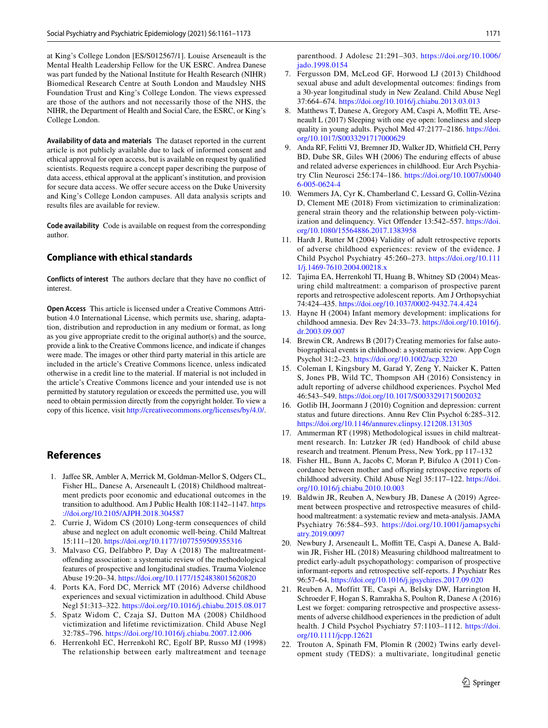at King's College London [ES/S012567/1]. Louise Arseneault is the Mental Health Leadership Fellow for the UK ESRC. Andrea Danese was part funded by the National Institute for Health Research (NIHR) Biomedical Research Centre at South London and Maudsley NHS Foundation Trust and King's College London. The views expressed are those of the authors and not necessarily those of the NHS, the NIHR, the Department of Health and Social Care, the ESRC, or King's College London.

**Availability of data and materials** The dataset reported in the current article is not publicly available due to lack of informed consent and ethical approval for open access, but is available on request by qualifed scientists. Requests require a concept paper describing the purpose of data access, ethical approval at the applicant's institution, and provision for secure data access. We offer secure access on the Duke University and King's College London campuses. All data analysis scripts and results fles are available for review.

**Code availability** Code is available on request from the corresponding author.

#### **Compliance with ethical standards**

**Conflicts of interest** The authors declare that they have no confict of interest.

**Open Access** This article is licensed under a Creative Commons Attribution 4.0 International License, which permits use, sharing, adaptation, distribution and reproduction in any medium or format, as long as you give appropriate credit to the original author(s) and the source, provide a link to the Creative Commons licence, and indicate if changes were made. The images or other third party material in this article are included in the article's Creative Commons licence, unless indicated otherwise in a credit line to the material. If material is not included in the article's Creative Commons licence and your intended use is not permitted by statutory regulation or exceeds the permitted use, you will need to obtain permission directly from the copyright holder. To view a copy of this licence, visit <http://creativecommons.org/licenses/by/4.0/>.

# **References**

- <span id="page-10-0"></span>1. Jafee SR, Ambler A, Merrick M, Goldman-Mellor S, Odgers CL, Fisher HL, Danese A, Arseneault L (2018) Childhood maltreatment predicts poor economic and educational outcomes in the transition to adulthood. Am J Public Health 108:1142–1147. [https](https://doi.org/10.2105/AJPH.2018.304587) [://doi.org/10.2105/AJPH.2018.304587](https://doi.org/10.2105/AJPH.2018.304587)
- <span id="page-10-1"></span>2. Currie J, Widom CS (2010) Long-term consequences of child abuse and neglect on adult economic well-being. Child Maltreat 15:111–120.<https://doi.org/10.1177/1077559509355316>
- <span id="page-10-2"></span>3. Malvaso CG, Delfabbro P, Day A (2018) The maltreatmentofending association: a systematic review of the methodological features of prospective and longitudinal studies. Trauma Violence Abuse 19:20–34. <https://doi.org/10.1177/1524838015620820>
- <span id="page-10-3"></span>4. Ports KA, Ford DC, Merrick MT (2016) Adverse childhood experiences and sexual victimization in adulthood. Child Abuse Negl 51:313–322. <https://doi.org/10.1016/j.chiabu.2015.08.017>
- <span id="page-10-4"></span>5. Spatz Widom C, Czaja SJ, Dutton MA (2008) Childhood victimization and lifetime revictimization. Child Abuse Negl 32:785–796. <https://doi.org/10.1016/j.chiabu.2007.12.006>
- <span id="page-10-5"></span>6. Herrenkohl EC, Herrenkohl RC, Egolf BP, Russo MJ (1998) The relationship between early maltreatment and teenage

parenthood. J Adolesc 21:291–303. [https://doi.org/10.1006/](https://doi.org/10.1006/jado.1998.0154) [jado.1998.0154](https://doi.org/10.1006/jado.1998.0154)

- <span id="page-10-6"></span>7. Fergusson DM, McLeod GF, Horwood LJ (2013) Childhood sexual abuse and adult developmental outcomes: fndings from a 30-year longitudinal study in New Zealand. Child Abuse Negl 37:664–674.<https://doi.org/10.1016/j.chiabu.2013.03.013>
- <span id="page-10-7"></span>8. Matthews T, Danese A, Gregory AM, Caspi A, Moffitt TE, Arseneault L (2017) Sleeping with one eye open: loneliness and sleep quality in young adults. Psychol Med 47:2177–2186. [https://doi.](https://doi.org/10.1017/S0033291717000629) [org/10.1017/S0033291717000629](https://doi.org/10.1017/S0033291717000629)
- <span id="page-10-8"></span>9. Anda RF, Felitti VJ, Bremner JD, Walker JD, Whitfeld CH, Perry BD, Dube SR, Giles WH (2006) The enduring efects of abuse and related adverse experiences in childhood. Eur Arch Psychiatry Clin Neurosci 256:174–186. [https://doi.org/10.1007/s0040](https://doi.org/10.1007/s00406-005-0624-4) [6-005-0624-4](https://doi.org/10.1007/s00406-005-0624-4)
- <span id="page-10-9"></span>10. Wemmers JA, Cyr K, Chamberland C, Lessard G, Collin-Vézina D, Clement ME (2018) From victimization to criminalization: general strain theory and the relationship between poly-victimization and delinquency. Vict Ofender 13:542–557. [https://doi.](https://doi.org/10.1080/15564886.2017.1383958) [org/10.1080/15564886.2017.1383958](https://doi.org/10.1080/15564886.2017.1383958)
- <span id="page-10-10"></span>11. Hardt J, Rutter M (2004) Validity of adult retrospective reports of adverse childhood experiences: review of the evidence. J Child Psychol Psychiatry 45:260–273. [https://doi.org/10.111](https://doi.org/10.1111/j.1469-7610.2004.00218.x) [1/j.1469-7610.2004.00218.x](https://doi.org/10.1111/j.1469-7610.2004.00218.x)
- <span id="page-10-11"></span>12. Tajima EA, Herrenkohl TI, Huang B, Whitney SD (2004) Measuring child maltreatment: a comparison of prospective parent reports and retrospective adolescent reports. Am J Orthopsychiat 74:424–435.<https://doi.org/10.1037/0002-9432.74.4.424>
- <span id="page-10-12"></span>13. Hayne H (2004) Infant memory development: implications for childhood amnesia. Dev Rev 24:33–73. [https://doi.org/10.1016/j.](https://doi.org/10.1016/j.dr.2003.09.007) [dr.2003.09.007](https://doi.org/10.1016/j.dr.2003.09.007)
- <span id="page-10-13"></span>14. Brewin CR, Andrews B (2017) Creating memories for false autobiographical events in childhood: a systematic review. App Cogn Psychol 31:2–23. <https://doi.org/10.1002/acp.3220>
- <span id="page-10-14"></span>15. Coleman I, Kingsbury M, Garad Y, Zeng Y, Naicker K, Patten S, Jones PB, Wild TC, Thompson AH (2016) Consistency in adult reporting of adverse childhood experiences. Psychol Med 46:543–549.<https://doi.org/10.1017/S0033291715002032>
- <span id="page-10-15"></span>16. Gotlib IH, Joormann J (2010) Cognition and depression: current status and future directions. Annu Rev Clin Psychol 6:285–312. <https://doi.org/10.1146/annurev.clinpsy.121208.131305>
- <span id="page-10-16"></span>17. Ammerman RT (1998) Methodological issues in child maltreatment research. In: Lutzker JR (ed) Handbook of child abuse research and treatment. Plenum Press, New York, pp 117–132
- <span id="page-10-17"></span>18. Fisher HL, Bunn A, Jacobs C, Moran P, Bifulco A (2011) Concordance between mother and ofspring retrospective reports of childhood adversity. Child Abuse Negl 35:117–122. [https://doi.](https://doi.org/10.1016/j.chiabu.2010.10.003) [org/10.1016/j.chiabu.2010.10.003](https://doi.org/10.1016/j.chiabu.2010.10.003)
- <span id="page-10-18"></span>19. Baldwin JR, Reuben A, Newbury JB, Danese A (2019) Agreement between prospective and retrospective measures of childhood maltreatment: a systematic review and meta-analysis. JAMA Psychiatry 76:584–593. [https://doi.org/10.1001/jamapsychi](https://doi.org/10.1001/jamapsychiatry.2019.0097) [atry.2019.0097](https://doi.org/10.1001/jamapsychiatry.2019.0097)
- <span id="page-10-19"></span>20. Newbury J, Arseneault L, Moffitt TE, Caspi A, Danese A, Baldwin JR, Fisher HL (2018) Measuring childhood maltreatment to predict early-adult psychopathology: comparison of prospective informant-reports and retrospective self-reports. J Psychiatr Res 96:57–64. <https://doi.org/10.1016/j.jpsychires.2017.09.020>
- <span id="page-10-20"></span>21. Reuben A, Moffitt TE, Caspi A, Belsky DW, Harrington H, Schroeder F, Hogan S, Ramrakha S, Poulton R, Danese A (2016) Lest we forget: comparing retrospective and prospective assessments of adverse childhood experiences in the prediction of adult health. J Child Psychol Psychiatry 57:1103-1112. [https://doi.](https://doi.org/10.1111/jcpp.12621) [org/10.1111/jcpp.12621](https://doi.org/10.1111/jcpp.12621)
- <span id="page-10-21"></span>22. Trouton A, Spinath FM, Plomin R (2002) Twins early development study (TEDS): a multivariate, longitudinal genetic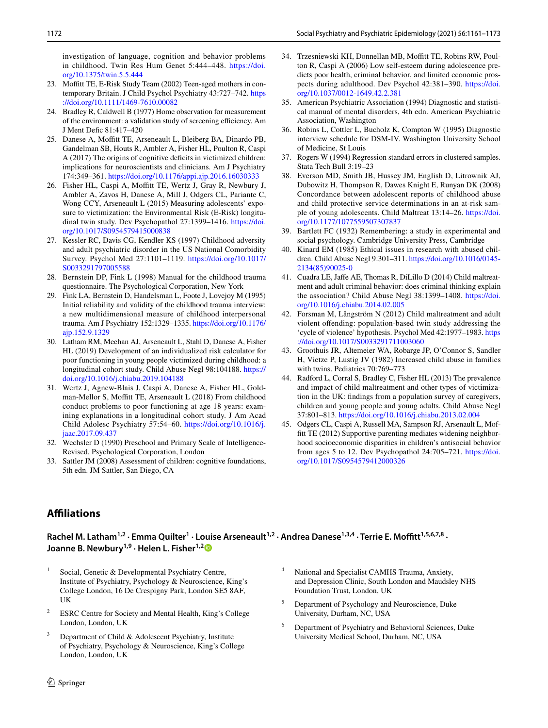investigation of language, cognition and behavior problems in childhood. Twin Res Hum Genet 5:444–448. [https://doi.](https://doi.org/10.1375/twin.5.5.444) [org/10.1375/twin.5.5.444](https://doi.org/10.1375/twin.5.5.444)

- <span id="page-11-0"></span>23. Moffitt TE, E-Risk Study Team (2002) Teen-aged mothers in contemporary Britain. J Child Psychol Psychiatry 43:727–742. [https](https://doi.org/10.1111/1469-7610.00082) [://doi.org/10.1111/1469-7610.00082](https://doi.org/10.1111/1469-7610.00082)
- <span id="page-11-1"></span>24. Bradley R, Caldwell B (1977) Home observation for measurement of the environment: a validation study of screening efficiency. Am J Ment Defc 81:417–420
- <span id="page-11-2"></span>25. Danese A, Moffitt TE, Arseneault L, Bleiberg BA, Dinardo PB, Gandelman SB, Houts R, Ambler A, Fisher HL, Poulton R, Caspi A (2017) The origins of cognitive defcits in victimized children: implications for neuroscientists and clinicians. Am J Psychiatry 174:349–361. <https://doi.org/10.1176/appi.ajp.2016.16030333>
- <span id="page-11-3"></span>26. Fisher HL, Caspi A, Moffitt TE, Wertz J, Gray R, Newbury J, Ambler A, Zavos H, Danese A, Mill J, Odgers CL, Pariante C, Wong CCY, Arseneault L (2015) Measuring adolescents' exposure to victimization: the Environmental Risk (E-Risk) longitudinal twin study. Dev Psychopathol 27:1399–1416. [https://doi.](https://doi.org/10.1017/S0954579415000838) [org/10.1017/S0954579415000838](https://doi.org/10.1017/S0954579415000838)
- <span id="page-11-4"></span>27. Kessler RC, Davis CG, Kendler KS (1997) Childhood adversity and adult psychiatric disorder in the US National Comorbidity Survey. Psychol Med 27:1101–1119. [https://doi.org/10.1017/](https://doi.org/10.1017/S0033291797005588) [S0033291797005588](https://doi.org/10.1017/S0033291797005588)
- <span id="page-11-5"></span>28. Bernstein DP, Fink L (1998) Manual for the childhood trauma questionnaire. The Psychological Corporation, New York
- <span id="page-11-6"></span>29. Fink LA, Bernstein D, Handelsman L, Foote J, Lovejoy M (1995) Initial reliability and validity of the childhood trauma interview: a new multidimensional measure of childhood interpersonal trauma. Am J Psychiatry 152:1329–1335. [https://doi.org/10.1176/](https://doi.org/10.1176/ajp.152.9.1329) [ajp.152.9.1329](https://doi.org/10.1176/ajp.152.9.1329)
- <span id="page-11-7"></span>30. Latham RM, Meehan AJ, Arseneault L, Stahl D, Danese A, Fisher HL (2019) Development of an individualized risk calculator for poor functioning in young people victimized during childhood: a longitudinal cohort study. Child Abuse Negl 98:104188. [https://](https://doi.org/10.1016/j.chiabu.2019.104188) [doi.org/10.1016/j.chiabu.2019.104188](https://doi.org/10.1016/j.chiabu.2019.104188)
- <span id="page-11-8"></span>31. Wertz J, Agnew-Blais J, Caspi A, Danese A, Fisher HL, Goldman-Mellor S, Moffitt TE, Arseneault L (2018) From childhood conduct problems to poor functioning at age 18 years: examining explanations in a longitudinal cohort study. J Am Acad Child Adolesc Psychiatry 57:54–60. [https://doi.org/10.1016/j.](https://doi.org/10.1016/j.jaac.2017.09.437) [jaac.2017.09.437](https://doi.org/10.1016/j.jaac.2017.09.437)
- <span id="page-11-9"></span>32. Wechsler D (1990) Preschool and Primary Scale of Intelligence-Revised. Psychological Corporation, London
- <span id="page-11-10"></span>33. Sattler JM (2008) Assessment of children: cognitive foundations, 5th edn. JM Sattler, San Diego, CA
- <span id="page-11-11"></span>34. Trzesniewski KH, Donnellan MB, Moffitt TE, Robins RW, Poulton R, Caspi A (2006) Low self-esteem during adolescence predicts poor health, criminal behavior, and limited economic prospects during adulthood. Dev Psychol 42:381–390. [https://doi.](https://doi.org/10.1037/0012-1649.42.2.381) [org/10.1037/0012-1649.42.2.381](https://doi.org/10.1037/0012-1649.42.2.381)
- <span id="page-11-12"></span>35. American Psychiatric Association (1994) Diagnostic and statistical manual of mental disorders, 4th edn. American Psychiatric Association, Washington
- <span id="page-11-13"></span>36. Robins L, Cottler L, Bucholz K, Compton W (1995) Diagnostic interview schedule for DSM-IV. Washington University School of Medicine, St Louis
- <span id="page-11-14"></span>37. Rogers W (1994) Regression standard errors in clustered samples. Stata Tech Bull 3:19–23
- <span id="page-11-15"></span>38. Everson MD, Smith JB, Hussey JM, English D, Litrownik AJ, Dubowitz H, Thompson R, Dawes Knight E, Runyan DK (2008) Concordance between adolescent reports of childhood abuse and child protective service determinations in an at-risk sample of young adolescents. Child Maltreat 13:14–26. [https://doi.](https://doi.org/10.1177/1077559507307837) [org/10.1177/1077559507307837](https://doi.org/10.1177/1077559507307837)
- <span id="page-11-16"></span>39. Bartlett FC (1932) Remembering: a study in experimental and social psychology. Cambridge University Press, Cambridge
- <span id="page-11-17"></span>40. Kinard EM (1985) Ethical issues in research with abused children. Child Abuse Negl 9:301–311. [https://doi.org/10.1016/0145-](https://doi.org/10.1016/0145-2134(85)90025-0) [2134\(85\)90025-0](https://doi.org/10.1016/0145-2134(85)90025-0)
- <span id="page-11-18"></span>41. Cuadra LE, Jafe AE, Thomas R, DiLillo D (2014) Child maltreatment and adult criminal behavior: does criminal thinking explain the association? Child Abuse Negl 38:1399–1408. [https://doi.](https://doi.org/10.1016/j.chiabu.2014.02.005) [org/10.1016/j.chiabu.2014.02.005](https://doi.org/10.1016/j.chiabu.2014.02.005)
- <span id="page-11-19"></span>42. Forsman M, Långström N (2012) Child maltreatment and adult violent offending: population-based twin study addressing the 'cycle of violence' hypothesis. Psychol Med 42:1977–1983. [https](https://doi.org/10.1017/S0033291711003060) [://doi.org/10.1017/S0033291711003060](https://doi.org/10.1017/S0033291711003060)
- <span id="page-11-20"></span>43. Groothuis JR, Altemeier WA, Robarge JP, O'Connor S, Sandler H, Vietze P, Lustig JV (1982) Increased child abuse in families with twins. Pediatrics 70:769–773
- <span id="page-11-21"></span>44. Radford L, Corral S, Bradley C, Fisher HL (2013) The prevalence and impact of child maltreatment and other types of victimization in the UK: fndings from a population survey of caregivers, children and young people and young adults. Child Abuse Negl 37:801–813.<https://doi.org/10.1016/j.chiabu.2013.02.004>
- <span id="page-11-22"></span>45. Odgers CL, Caspi A, Russell MA, Sampson RJ, Arsenault L, Mofftt TE (2012) Supportive parenting mediates widening neighborhood socioeconomic disparities in children's antisocial behavior from ages 5 to 12. Dev Psychopathol 24:705–721. [https://doi.](https://doi.org/10.1017/S0954579412000326) [org/10.1017/S0954579412000326](https://doi.org/10.1017/S0954579412000326)

# **Afliations**

# Rachel M. Latham<sup>1,2</sup> · Emma Quilter<sup>1</sup> · Louise Arseneault<sup>1,2</sup> · Andrea Danese<sup>1,3,4</sup> · Terrie E. Moffitt<sup>1,5,6,7,8</sup> · Joanne B. Newbury<sup>1,9</sup> · Helen L. Fisher<sup>1,[2](http://orcid.org/0000-0003-4174-2126)</sup><sup>0</sup>

- Social, Genetic & Developmental Psychiatry Centre, Institute of Psychiatry, Psychology & Neuroscience, King's College London, 16 De Crespigny Park, London SE5 8AF, UK
- <sup>2</sup> ESRC Centre for Society and Mental Health, King's College London, London, UK
- Department of Child & Adolescent Psychiatry, Institute of Psychiatry, Psychology & Neuroscience, King's College London, London, UK
- National and Specialist CAMHS Trauma, Anxiety, and Depression Clinic, South London and Maudsley NHS Foundation Trust, London, UK
- <sup>5</sup> Department of Psychology and Neuroscience, Duke University, Durham, NC, USA
- <sup>6</sup> Department of Psychiatry and Behavioral Sciences, Duke University Medical School, Durham, NC, USA